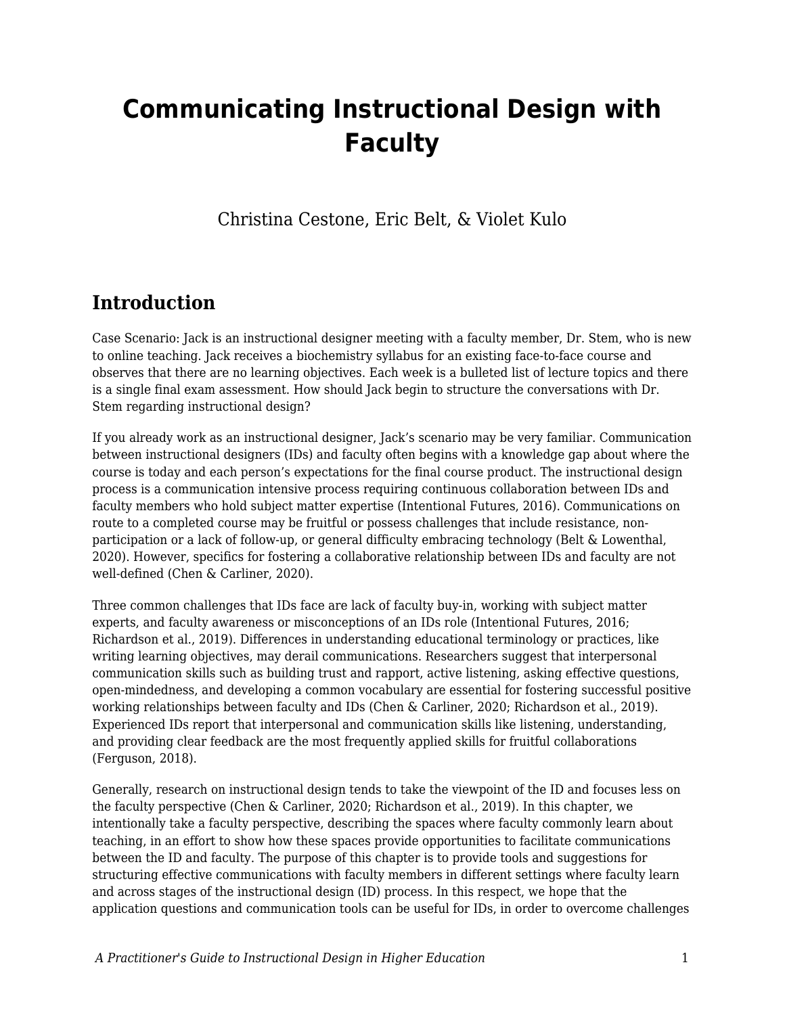# **Communicating Instructional Design with Faculty**

Christina Cestone, Eric Belt, & Violet Kulo

# **Introduction**

Case Scenario: Jack is an instructional designer meeting with a faculty member, Dr. Stem, who is new to online teaching. Jack receives a biochemistry syllabus for an existing face-to-face course and observes that there are no learning objectives. Each week is a bulleted list of lecture topics and there is a single final exam assessment. How should Jack begin to structure the conversations with Dr. Stem regarding instructional design?

If you already work as an instructional designer, Jack's scenario may be very familiar. Communication between instructional designers (IDs) and faculty often begins with a knowledge gap about where the course is today and each person's expectations for the final course product. The instructional design process is a communication intensive process requiring continuous collaboration between IDs and faculty members who hold subject matter expertise (Intentional Futures, 2016). Communications on route to a completed course may be fruitful or possess challenges that include resistance, nonparticipation or a lack of follow-up, or general difficulty embracing technology (Belt & Lowenthal, 2020). However, specifics for fostering a collaborative relationship between IDs and faculty are not well-defined (Chen & Carliner, 2020).

Three common challenges that IDs face are lack of faculty buy-in, working with subject matter experts, and faculty awareness or misconceptions of an IDs role (Intentional Futures, 2016; Richardson et al., 2019). Differences in understanding educational terminology or practices, like writing learning objectives, may derail communications. Researchers suggest that interpersonal communication skills such as building trust and rapport, active listening, asking effective questions, open-mindedness, and developing a common vocabulary are essential for fostering successful positive working relationships between faculty and IDs (Chen & Carliner, 2020; Richardson et al., 2019). Experienced IDs report that interpersonal and communication skills like listening, understanding, and providing clear feedback are the most frequently applied skills for fruitful collaborations (Ferguson, 2018).

Generally, research on instructional design tends to take the viewpoint of the ID and focuses less on the faculty perspective (Chen & Carliner, 2020; Richardson et al., 2019). In this chapter, we intentionally take a faculty perspective, describing the spaces where faculty commonly learn about teaching, in an effort to show how these spaces provide opportunities to facilitate communications between the ID and faculty. The purpose of this chapter is to provide tools and suggestions for structuring effective communications with faculty members in different settings where faculty learn and across stages of the instructional design (ID) process. In this respect, we hope that the application questions and communication tools can be useful for IDs, in order to overcome challenges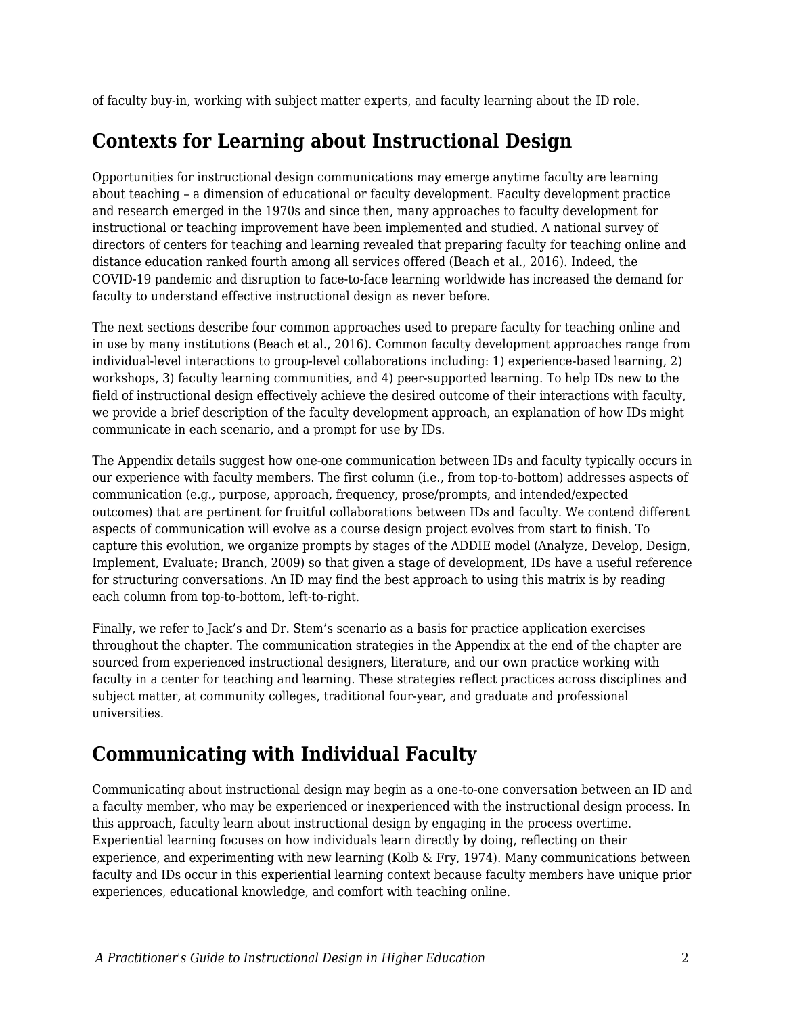of faculty buy-in, working with subject matter experts, and faculty learning about the ID role.

### **Contexts for Learning about Instructional Design**

Opportunities for instructional design communications may emerge anytime faculty are learning about teaching – a dimension of educational or faculty development. Faculty development practice and research emerged in the 1970s and since then, many approaches to faculty development for instructional or teaching improvement have been implemented and studied. A national survey of directors of centers for teaching and learning revealed that preparing faculty for teaching online and distance education ranked fourth among all services offered (Beach et al., 2016). Indeed, the COVID-19 pandemic and disruption to face-to-face learning worldwide has increased the demand for faculty to understand effective instructional design as never before.

The next sections describe four common approaches used to prepare faculty for teaching online and in use by many institutions (Beach et al., 2016). Common faculty development approaches range from individual-level interactions to group-level collaborations including: 1) experience-based learning, 2) workshops, 3) faculty learning communities, and 4) peer-supported learning. To help IDs new to the field of instructional design effectively achieve the desired outcome of their interactions with faculty, we provide a brief description of the faculty development approach, an explanation of how IDs might communicate in each scenario, and a prompt for use by IDs.

The Appendix details suggest how one-one communication between IDs and faculty typically occurs in our experience with faculty members. The first column (i.e., from top-to-bottom) addresses aspects of communication (e.g., purpose, approach, frequency, prose/prompts, and intended/expected outcomes) that are pertinent for fruitful collaborations between IDs and faculty. We contend different aspects of communication will evolve as a course design project evolves from start to finish. To capture this evolution, we organize prompts by stages of the ADDIE model (Analyze, Develop, Design, Implement, Evaluate; Branch, 2009) so that given a stage of development, IDs have a useful reference for structuring conversations. An ID may find the best approach to using this matrix is by reading each column from top-to-bottom, left-to-right.

Finally, we refer to Jack's and Dr. Stem's scenario as a basis for practice application exercises throughout the chapter. The communication strategies in the Appendix at the end of the chapter are sourced from experienced instructional designers, literature, and our own practice working with faculty in a center for teaching and learning. These strategies reflect practices across disciplines and subject matter, at community colleges, traditional four-year, and graduate and professional universities.

# **Communicating with Individual Faculty**

Communicating about instructional design may begin as a one-to-one conversation between an ID and a faculty member, who may be experienced or inexperienced with the instructional design process. In this approach, faculty learn about instructional design by engaging in the process overtime. Experiential learning focuses on how individuals learn directly by doing, reflecting on their experience, and experimenting with new learning (Kolb & Fry, 1974). Many communications between faculty and IDs occur in this experiential learning context because faculty members have unique prior experiences, educational knowledge, and comfort with teaching online.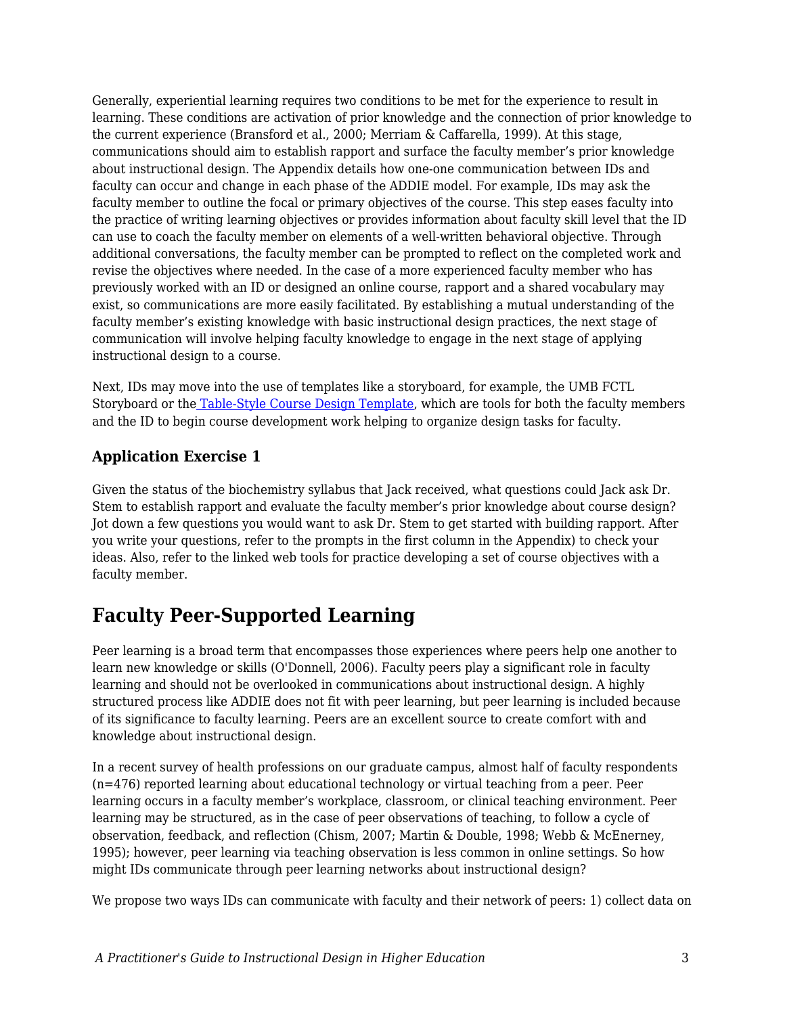Generally, experiential learning requires two conditions to be met for the experience to result in learning. These conditions are activation of prior knowledge and the connection of prior knowledge to the current experience (Bransford et al., 2000; Merriam & Caffarella, 1999). At this stage, communications should aim to establish rapport and surface the faculty member's prior knowledge about instructional design. The Appendix details how one-one communication between IDs and faculty can occur and change in each phase of the ADDIE model. For example, IDs may ask the faculty member to outline the focal or primary objectives of the course. This step eases faculty into the practice of writing learning objectives or provides information about faculty skill level that the ID can use to coach the faculty member on elements of a well-written behavioral objective. Through additional conversations, the faculty member can be prompted to reflect on the completed work and revise the objectives where needed. In the case of a more experienced faculty member who has previously worked with an ID or designed an online course, rapport and a shared vocabulary may exist, so communications are more easily facilitated. By establishing a mutual understanding of the faculty member's existing knowledge with basic instructional design practices, the next stage of communication will involve helping faculty knowledge to engage in the next stage of applying instructional design to a course.

Next, IDs may move into the use of templates like a storyboard, for example, the UMB FCTL Storyboard or th[e](https://airtable.com/templates/content-production/expojxyt3dvciZqvm/addie-instructional-design-model) [Table-Style Course Design Template,](https://airtable.com/templates/content-production/expojxyt3dvciZqvm/addie-instructional-design-model) which are tools for both the faculty members and the ID to begin course development work helping to organize design tasks for faculty.

#### **Application Exercise 1**

Given the status of the biochemistry syllabus that Jack received, what questions could Jack ask Dr. Stem to establish rapport and evaluate the faculty member's prior knowledge about course design? Jot down a few questions you would want to ask Dr. Stem to get started with building rapport. After you write your questions, refer to the prompts in the first column in the Appendix) to check your ideas. Also, refer to the linked web tools for practice developing a set of course objectives with a faculty member.

### **Faculty Peer-Supported Learning**

Peer learning is a broad term that encompasses those experiences where peers help one another to learn new knowledge or skills (O'Donnell, 2006). Faculty peers play a significant role in faculty learning and should not be overlooked in communications about instructional design. A highly structured process like ADDIE does not fit with peer learning, but peer learning is included because of its significance to faculty learning. Peers are an excellent source to create comfort with and knowledge about instructional design.

In a recent survey of health professions on our graduate campus, almost half of faculty respondents (n=476) reported learning about educational technology or virtual teaching from a peer. Peer learning occurs in a faculty member's workplace, classroom, or clinical teaching environment. Peer learning may be structured, as in the case of peer observations of teaching, to follow a cycle of observation, feedback, and reflection (Chism, 2007; Martin & Double, 1998; Webb & McEnerney, 1995); however, peer learning via teaching observation is less common in online settings. So how might IDs communicate through peer learning networks about instructional design?

We propose two ways IDs can communicate with faculty and their network of peers: 1) collect data on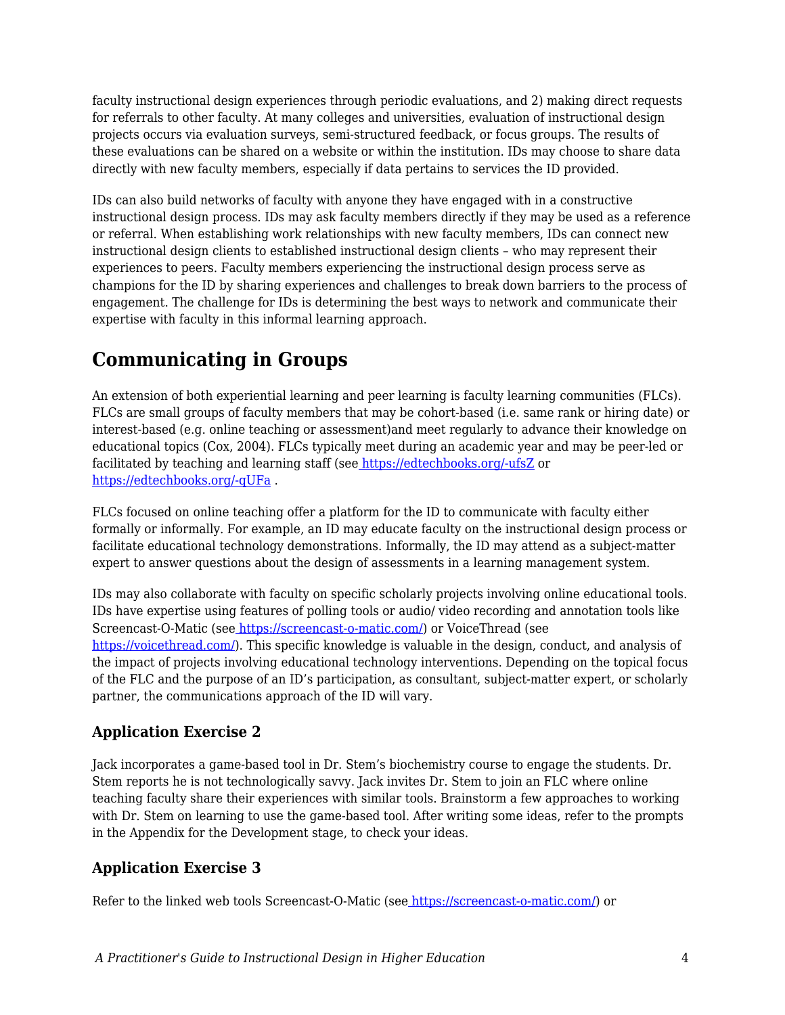faculty instructional design experiences through periodic evaluations, and 2) making direct requests for referrals to other faculty. At many colleges and universities, evaluation of instructional design projects occurs via evaluation surveys, semi-structured feedback, or focus groups. The results of these evaluations can be shared on a website or within the institution. IDs may choose to share data directly with new faculty members, especially if data pertains to services the ID provided.

IDs can also build networks of faculty with anyone they have engaged with in a constructive instructional design process. IDs may ask faculty members directly if they may be used as a reference or referral. When establishing work relationships with new faculty members, IDs can connect new instructional design clients to established instructional design clients – who may represent their experiences to peers. Faculty members experiencing the instructional design process serve as champions for the ID by sharing experiences and challenges to break down barriers to the process of engagement. The challenge for IDs is determining the best ways to network and communicate their expertise with faculty in this informal learning approach.

# **Communicating in Groups**

An extension of both experiential learning and peer learning is faculty learning communities (FLCs). FLCs are small groups of faculty members that may be cohort-based (i.e. same rank or hiring date) or interest-based (e.g. online teaching or assessment)and meet regularly to advance their knowledge on educational topics (Cox, 2004). FLCs typically meet during an academic year and may be peer-led or facilitated by teaching and learning staff (see [https://edtechbooks.org/-ufsZ](https://citl.indiana.edu/programs/faculty-learning-communities/index.html) or [https://edtechbooks.org/-qUFa](https://www.umaryland.edu/fctl/programs/online-teaching-community/) .

FLCs focused on online teaching offer a platform for the ID to communicate with faculty either formally or informally. For example, an ID may educate faculty on the instructional design process or facilitate educational technology demonstrations. Informally, the ID may attend as a subject-matter expert to answer questions about the design of assessments in a learning management system.

IDs may also collaborate with faculty on specific scholarly projects involving online educational tools. IDs have expertise using features of polling tools or audio/ video recording and annotation tools like Screencast-O-Matic (see [https://screencast-o-matic.com/\)](https://screencast-o-matic.com/) or VoiceThread (see <https://voicethread.com/>). This specific knowledge is valuable in the design, conduct, and analysis of the impact of projects involving educational technology interventions. Depending on the topical focus of the FLC and the purpose of an ID's participation, as consultant, subject-matter expert, or scholarly partner, the communications approach of the ID will vary.

### **Application Exercise 2**

Jack incorporates a game-based tool in Dr. Stem's biochemistry course to engage the students. Dr. Stem reports he is not technologically savvy. Jack invites Dr. Stem to join an FLC where online teaching faculty share their experiences with similar tools. Brainstorm a few approaches to working with Dr. Stem on learning to use the game-based tool. After writing some ideas, refer to the prompts in the Appendix for the Development stage, to check your ideas.

### **Application Exercise 3**

Refer to the linked web tools Screencast-O-Matic (see [https://screencast-o-matic.com/\)](https://screencast-o-matic.com/) or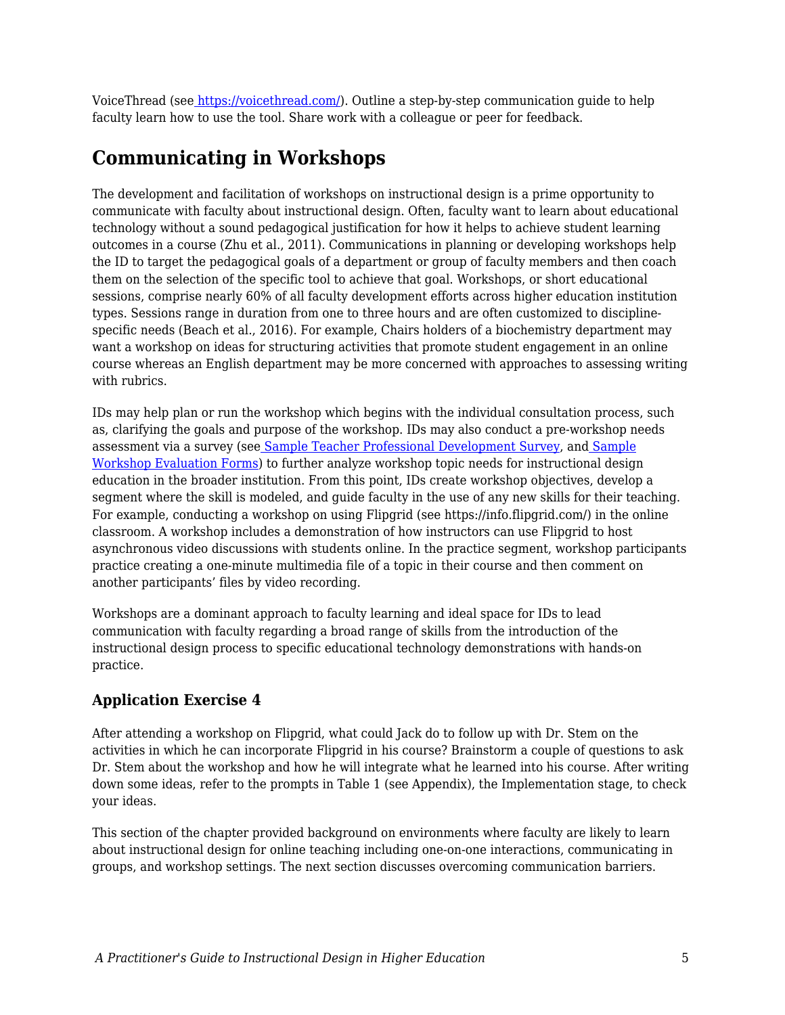VoiceThread (se[e](https://voicethread.com/) <https://voicethread.com/>). Outline a step-by-step communication guide to help faculty learn how to use the tool. Share work with a colleague or peer for feedback.

### **Communicating in Workshops**

The development and facilitation of workshops on instructional design is a prime opportunity to communicate with faculty about instructional design. Often, faculty want to learn about educational technology without a sound pedagogical justification for how it helps to achieve student learning outcomes in a course (Zhu et al., 2011). Communications in planning or developing workshops help the ID to target the pedagogical goals of a department or group of faculty members and then coach them on the selection of the specific tool to achieve that goal. Workshops, or short educational sessions, comprise nearly 60% of all faculty development efforts across higher education institution types. Sessions range in duration from one to three hours and are often customized to disciplinespecific needs (Beach et al., 2016). For example, Chairs holders of a biochemistry department may want a workshop on ideas for structuring activities that promote student engagement in an online course whereas an English department may be more concerned with approaches to assessing writing with rubrics.

IDs may help plan or run the workshop which begins with the individual consultation process, such as, clarifying the goals and purpose of the workshop. IDs may also conduct a pre-workshop needs assessment via a survey (se[e](https://www.sogosurvey.com/survey-templates/school/teacher-professional-development-survey/) [Sample Teacher Professional Development Survey,](https://www.sogosurvey.com/survey-templates/school/teacher-professional-development-survey/) and [Sample](https://www.sampleforms.com/workshop-evaluation-form.html) [Workshop Evaluation Forms\)](https://www.sampleforms.com/workshop-evaluation-form.html) to further analyze workshop topic needs for instructional design education in the broader institution. From this point, IDs create workshop objectives, develop a segment where the skill is modeled, and guide faculty in the use of any new skills for their teaching. For example, conducting a workshop on using Flipgrid (see https://info.flipgrid.com/) in the online classroom. A workshop includes a demonstration of how instructors can use Flipgrid to host asynchronous video discussions with students online. In the practice segment, workshop participants practice creating a one-minute multimedia file of a topic in their course and then comment on another participants' files by video recording.

Workshops are a dominant approach to faculty learning and ideal space for IDs to lead communication with faculty regarding a broad range of skills from the introduction of the instructional design process to specific educational technology demonstrations with hands-on practice.

### **Application Exercise 4**

After attending a workshop on Flipgrid, what could Jack do to follow up with Dr. Stem on the activities in which he can incorporate Flipgrid in his course? Brainstorm a couple of questions to ask Dr. Stem about the workshop and how he will integrate what he learned into his course. After writing down some ideas, refer to the prompts in Table 1 (see Appendix), the Implementation stage, to check your ideas.

This section of the chapter provided background on environments where faculty are likely to learn about instructional design for online teaching including one-on-one interactions, communicating in groups, and workshop settings. The next section discusses overcoming communication barriers.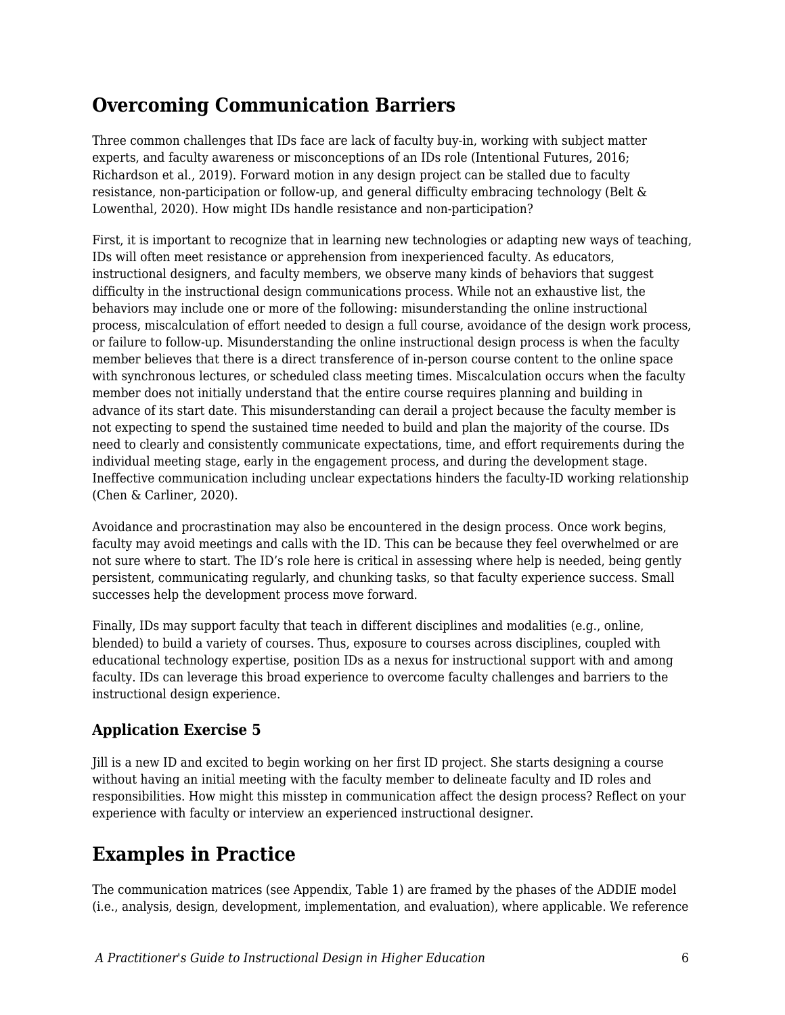### **Overcoming Communication Barriers**

Three common challenges that IDs face are lack of faculty buy-in, working with subject matter experts, and faculty awareness or misconceptions of an IDs role (Intentional Futures, 2016; Richardson et al., 2019). Forward motion in any design project can be stalled due to faculty resistance, non-participation or follow-up, and general difficulty embracing technology (Belt & Lowenthal, 2020). How might IDs handle resistance and non-participation?

First, it is important to recognize that in learning new technologies or adapting new ways of teaching, IDs will often meet resistance or apprehension from inexperienced faculty. As educators, instructional designers, and faculty members, we observe many kinds of behaviors that suggest difficulty in the instructional design communications process. While not an exhaustive list, the behaviors may include one or more of the following: misunderstanding the online instructional process, miscalculation of effort needed to design a full course, avoidance of the design work process, or failure to follow-up. Misunderstanding the online instructional design process is when the faculty member believes that there is a direct transference of in-person course content to the online space with synchronous lectures, or scheduled class meeting times. Miscalculation occurs when the faculty member does not initially understand that the entire course requires planning and building in advance of its start date. This misunderstanding can derail a project because the faculty member is not expecting to spend the sustained time needed to build and plan the majority of the course. IDs need to clearly and consistently communicate expectations, time, and effort requirements during the individual meeting stage, early in the engagement process, and during the development stage. Ineffective communication including unclear expectations hinders the faculty-ID working relationship (Chen & Carliner, 2020).

Avoidance and procrastination may also be encountered in the design process. Once work begins, faculty may avoid meetings and calls with the ID. This can be because they feel overwhelmed or are not sure where to start. The ID's role here is critical in assessing where help is needed, being gently persistent, communicating regularly, and chunking tasks, so that faculty experience success. Small successes help the development process move forward.

Finally, IDs may support faculty that teach in different disciplines and modalities (e.g., online, blended) to build a variety of courses. Thus, exposure to courses across disciplines, coupled with educational technology expertise, position IDs as a nexus for instructional support with and among faculty. IDs can leverage this broad experience to overcome faculty challenges and barriers to the instructional design experience.

### **Application Exercise 5**

Jill is a new ID and excited to begin working on her first ID project. She starts designing a course without having an initial meeting with the faculty member to delineate faculty and ID roles and responsibilities. How might this misstep in communication affect the design process? Reflect on your experience with faculty or interview an experienced instructional designer.

# **Examples in Practice**

The communication matrices (see Appendix, Table 1) are framed by the phases of the ADDIE model (i.e., analysis, design, development, implementation, and evaluation), where applicable. We reference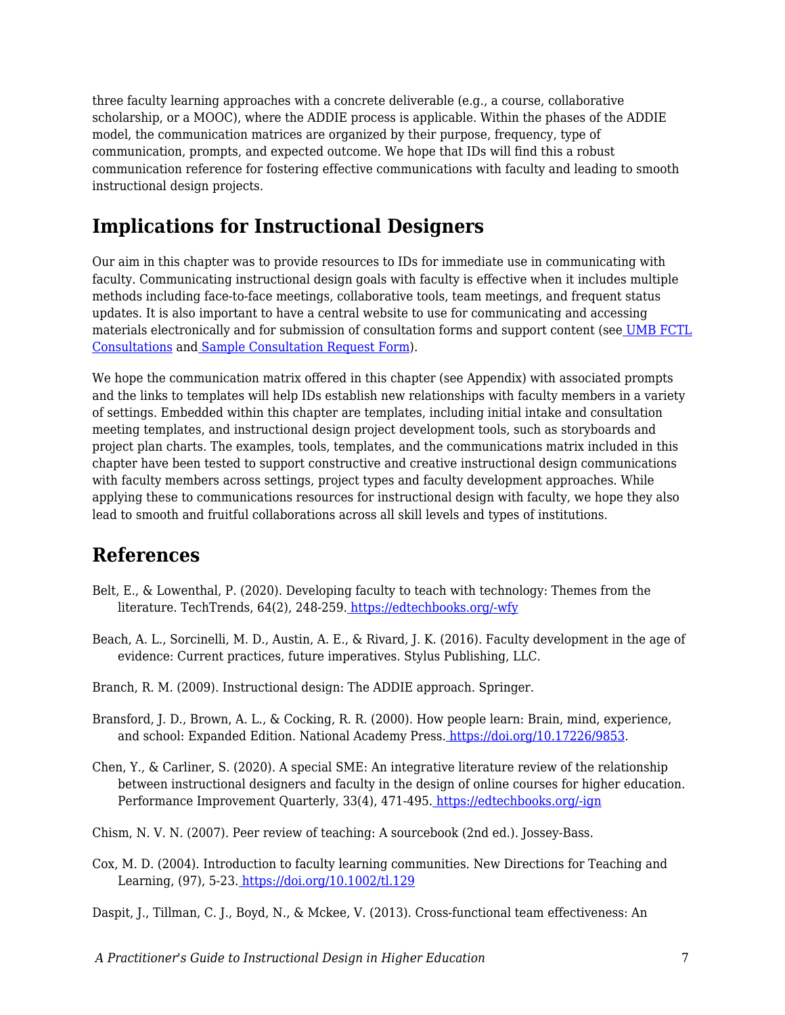three faculty learning approaches with a concrete deliverable (e.g., a course, collaborative scholarship, or a MOOC), where the ADDIE process is applicable. Within the phases of the ADDIE model, the communication matrices are organized by their purpose, frequency, type of communication, prompts, and expected outcome. We hope that IDs will find this a robust communication reference for fostering effective communications with faculty and leading to smooth instructional design projects.

# **Implications for Instructional Designers**

Our aim in this chapter was to provide resources to IDs for immediate use in communicating with faculty. Communicating instructional design goals with faculty is effective when it includes multiple methods including face-to-face meetings, collaborative tools, team meetings, and frequent status updates. It is also important to have a central website to use for communicating and accessing materials electronically and for submission of consultation forms and support content (see [UMB FCTL](https://www.umaryland.edu/fctl/services/consultations/) [Consultations](https://www.umaryland.edu/fctl/services/consultations/) an[d](https://umbfctl.wufoo.com/forms/z1p5oo0n1n511ks/) [Sample Consultation Request Form\)](https://umbfctl.wufoo.com/forms/z1p5oo0n1n511ks/).

We hope the communication matrix offered in this chapter (see Appendix) with associated prompts and the links to templates will help IDs establish new relationships with faculty members in a variety of settings. Embedded within this chapter are templates, including initial intake and consultation meeting templates, and instructional design project development tools, such as storyboards and project plan charts. The examples, tools, templates, and the communications matrix included in this chapter have been tested to support constructive and creative instructional design communications with faculty members across settings, project types and faculty development approaches. While applying these to communications resources for instructional design with faculty, we hope they also lead to smooth and fruitful collaborations across all skill levels and types of institutions.

### **References**

- Belt, E., & Lowenthal, P. (2020). Developing faculty to teach with technology: Themes from the literature. TechTrends, 64(2), 248-259. [https://edtechbooks.org/-wfy](https://doi.org/10.1007/s11528-019-00447-6)
- Beach, A. L., Sorcinelli, M. D., Austin, A. E., & Rivard, J. K. (2016). Faculty development in the age of evidence: Current practices, future imperatives. Stylus Publishing, LLC.
- Branch, R. M. (2009). Instructional design: The ADDIE approach. Springer.
- Bransford, J. D., Brown, A. L., & Cocking, R. R. (2000). How people learn: Brain, mind, experience, and school: Expanded Edition. National Academy Press. [https://doi.org/10.17226/9853.](https://doi.org/10.17226/9853)
- Chen, Y., & Carliner, S. (2020). A special SME: An integrative literature review of the relationship between instructional designers and faculty in the design of online courses for higher education. Performance Improvement Quarterly, 33(4), 471-495. [https://edtechbooks.org/-ign](https://doi.org/10.1002/piq.21339)
- Chism, N. V. N. (2007). Peer review of teaching: A sourcebook (2nd ed.). Jossey-Bass.
- Cox, M. D. (2004). Introduction to faculty learning communities. New Directions for Teaching and Learning, (97), 5-23[.](https://doi.org/10.1002/tl.129) <https://doi.org/10.1002/tl.129>

Daspit, J., Tillman, C. J., Boyd, N., & Mckee, V. (2013). Cross-functional team effectiveness: An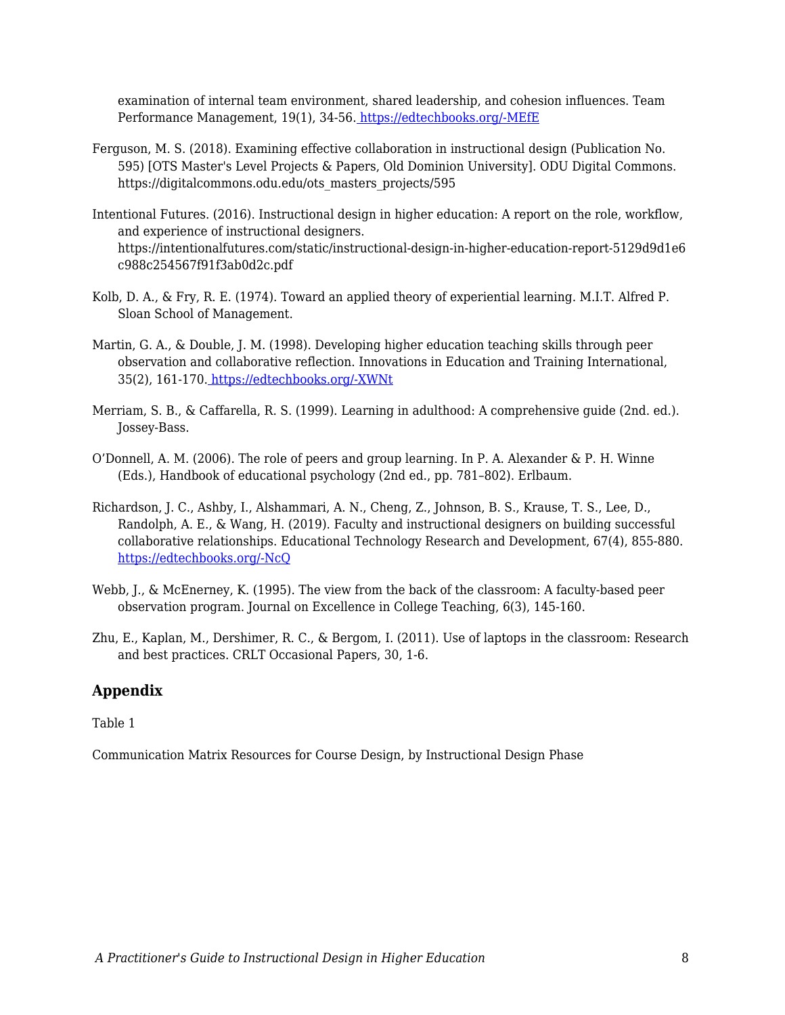examination of internal team environment, shared leadership, and cohesion influences. Team Performance Management, 19(1), 34-56[.](https://doi.org/10.1108/13527591311312088) [https://edtechbooks.org/-MEfE](https://doi.org/10.1108/13527591311312088)

- Ferguson, M. S. (2018). Examining effective collaboration in instructional design (Publication No. 595) [OTS Master's Level Projects & Papers, Old Dominion University]. ODU Digital Commons. https://digitalcommons.odu.edu/ots\_masters\_projects/595
- Intentional Futures. (2016). Instructional design in higher education: A report on the role, workflow, and experience of instructional designers. https://intentionalfutures.com/static/instructional-design-in-higher-education-report-5129d9d1e6 c988c254567f91f3ab0d2c.pdf
- Kolb, D. A., & Fry, R. E. (1974). Toward an applied theory of experiential learning. M.I.T. Alfred P. Sloan School of Management.
- Martin, G. A., & Double, J. M. (1998). Developing higher education teaching skills through peer observation and collaborative reflection. Innovations in Education and Training International, 35(2), 161-170[.](https://doi.org/10.1080/1355800980350210) [https://edtechbooks.org/-XWNt](https://doi.org/10.1080/1355800980350210)
- Merriam, S. B., & Caffarella, R. S. (1999). Learning in adulthood: A comprehensive guide (2nd. ed.). Jossey-Bass.
- O'Donnell, A. M. (2006). The role of peers and group learning. In P. A. Alexander & P. H. Winne (Eds.), Handbook of educational psychology (2nd ed., pp. 781–802). Erlbaum.
- Richardson, J. C., Ashby, I., Alshammari, A. N., Cheng, Z., Johnson, B. S., Krause, T. S., Lee, D., Randolph, A. E., & Wang, H. (2019). Faculty and instructional designers on building successful collaborative relationships. Educational Technology Research and Development, 67(4), 855-880. [https://edtechbooks.org/-NcQ](https://doi.org/10.1007/s11423-018-9636-4)
- Webb, J., & McEnerney, K. (1995). The view from the back of the classroom: A faculty-based peer observation program. Journal on Excellence in College Teaching, 6(3), 145-160.
- Zhu, E., Kaplan, M., Dershimer, R. C., & Bergom, I. (2011). Use of laptops in the classroom: Research and best practices. CRLT Occasional Papers, 30, 1-6.

#### **Appendix**

Table 1

Communication Matrix Resources for Course Design, by Instructional Design Phase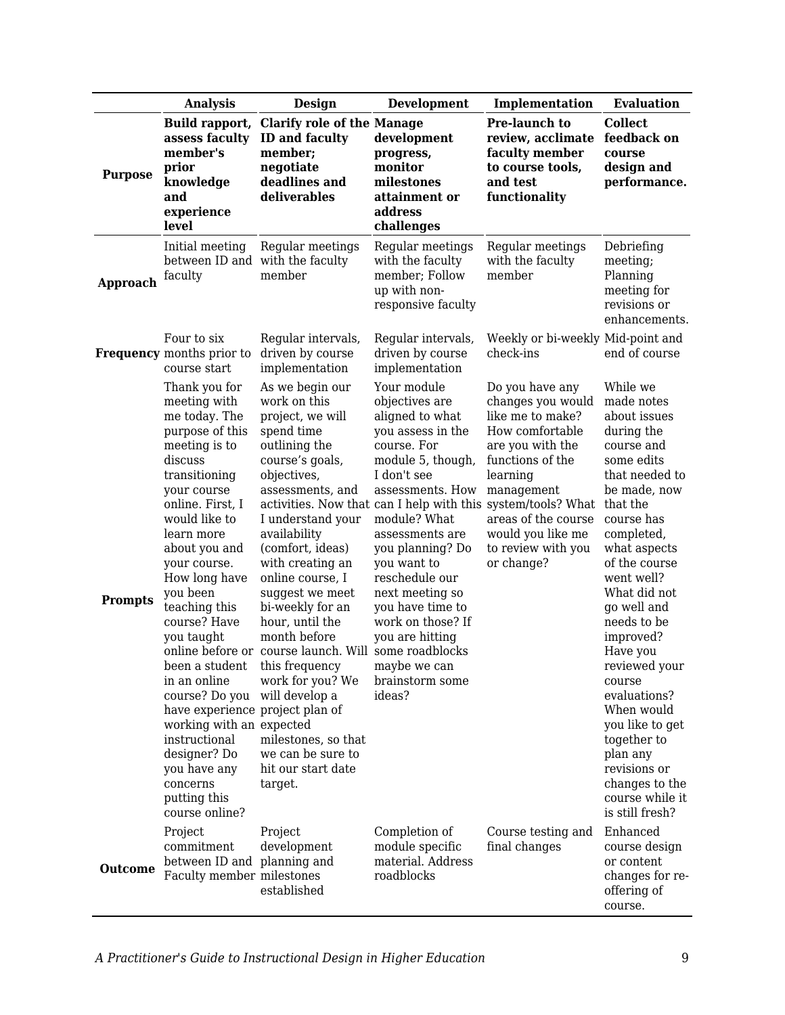|                 | <b>Analysis</b>                                                                                                                                                                                                                                                                                                                                                                                                                                                                                                                | <b>Design</b>                                                                                                                                                                                                                                                                                                                                                                                                                                                                                  | <b>Development</b>                                                                                                                                                                                                                                                                                                                                               | Implementation                                                                                                                                                                                                                                                                                | <b>Evaluation</b>                                                                                                                                                                                                                                                                                                                                                                                                                                               |
|-----------------|--------------------------------------------------------------------------------------------------------------------------------------------------------------------------------------------------------------------------------------------------------------------------------------------------------------------------------------------------------------------------------------------------------------------------------------------------------------------------------------------------------------------------------|------------------------------------------------------------------------------------------------------------------------------------------------------------------------------------------------------------------------------------------------------------------------------------------------------------------------------------------------------------------------------------------------------------------------------------------------------------------------------------------------|------------------------------------------------------------------------------------------------------------------------------------------------------------------------------------------------------------------------------------------------------------------------------------------------------------------------------------------------------------------|-----------------------------------------------------------------------------------------------------------------------------------------------------------------------------------------------------------------------------------------------------------------------------------------------|-----------------------------------------------------------------------------------------------------------------------------------------------------------------------------------------------------------------------------------------------------------------------------------------------------------------------------------------------------------------------------------------------------------------------------------------------------------------|
| <b>Purpose</b>  | Build rapport,<br>assess faculty<br>member's<br>prior<br>knowledge<br>and<br>experience<br>level                                                                                                                                                                                                                                                                                                                                                                                                                               | <b>Clarify role of the Manage</b><br><b>ID and faculty</b><br>member;<br>negotiate<br>deadlines and<br>deliverables                                                                                                                                                                                                                                                                                                                                                                            | development<br>progress,<br>monitor<br>milestones<br>attainment or<br>address<br>challenges                                                                                                                                                                                                                                                                      | Pre-launch to<br>review, acclimate<br>faculty member<br>to course tools,<br>and test<br>functionality                                                                                                                                                                                         | <b>Collect</b><br>feedback on<br>course<br>design and<br>performance.                                                                                                                                                                                                                                                                                                                                                                                           |
| <b>Approach</b> | Initial meeting<br>between ID and<br>faculty                                                                                                                                                                                                                                                                                                                                                                                                                                                                                   | Regular meetings<br>with the faculty<br>member                                                                                                                                                                                                                                                                                                                                                                                                                                                 | Regular meetings<br>with the faculty<br>member; Follow<br>up with non-<br>responsive faculty                                                                                                                                                                                                                                                                     | Regular meetings<br>with the faculty<br>member                                                                                                                                                                                                                                                | Debriefing<br>meeting;<br>Planning<br>meeting for<br>revisions or<br>enhancements.                                                                                                                                                                                                                                                                                                                                                                              |
|                 | Four to six<br><b>Frequency</b> months prior to<br>course start                                                                                                                                                                                                                                                                                                                                                                                                                                                                | Regular intervals,<br>driven by course<br>implementation                                                                                                                                                                                                                                                                                                                                                                                                                                       | Regular intervals,<br>driven by course<br>implementation                                                                                                                                                                                                                                                                                                         | Weekly or bi-weekly Mid-point and<br>check-ins                                                                                                                                                                                                                                                | end of course                                                                                                                                                                                                                                                                                                                                                                                                                                                   |
| <b>Prompts</b>  | Thank you for<br>meeting with<br>me today. The<br>purpose of this<br>meeting is to<br>discuss<br>transitioning<br>your course<br>online. First, I<br>would like to<br>learn more<br>about you and<br>your course.<br>How long have<br>you been<br>teaching this<br>course? Have<br>you taught<br>been a student this frequency<br>in an online<br>course? Do you<br>have experience project plan of<br>working with an expected<br>instructional<br>designer? Do<br>you have any<br>concerns<br>putting this<br>course online? | As we begin our<br>work on this<br>project, we will<br>spend time<br>outlining the<br>course's goals,<br>objectives,<br>assessments, and<br>I understand your<br>availability<br>(comfort, ideas)<br>with creating an<br>online course, I<br>suggest we meet<br>bi-weekly for an<br>hour, until the<br>month before<br>online before or course launch. Will some roadblocks<br>work for you? We<br>will develop a<br>milestones, so that<br>we can be sure to<br>hit our start date<br>target. | Your module<br>objectives are<br>aligned to what<br>you assess in the<br>course. For<br>module 5, though,<br>I don't see<br>assessments. How<br>module? What<br>assessments are<br>you planning? Do<br>you want to<br>reschedule our<br>next meeting so<br>you have time to<br>work on those? If<br>you are hitting<br>maybe we can<br>brainstorm some<br>ideas? | Do you have any<br>changes you would<br>like me to make?<br>How comfortable<br>are you with the<br>functions of the<br>learning<br>management<br>activities. Now that can I help with this system/tools? What<br>areas of the course<br>would you like me<br>to review with you<br>or change? | While we<br>made notes<br>about issues<br>during the<br>course and<br>some edits<br>that needed to<br>be made, now<br>that the<br>course has<br>completed,<br>what aspects<br>of the course<br>went well?<br>What did not<br>go well and<br>needs to be<br>improved?<br>Have you<br>reviewed your<br>course<br>evaluations?<br>When would<br>you like to get<br>together to<br>plan any<br>revisions or<br>changes to the<br>course while it<br>is still fresh? |
| <b>Outcome</b>  | Project<br>commitment<br>between ID and planning and<br>Faculty member milestones                                                                                                                                                                                                                                                                                                                                                                                                                                              | Project<br>development<br>established                                                                                                                                                                                                                                                                                                                                                                                                                                                          | Completion of<br>module specific<br>material. Address<br>roadblocks                                                                                                                                                                                                                                                                                              | Course testing and<br>final changes                                                                                                                                                                                                                                                           | Enhanced<br>course design<br>or content<br>changes for re-<br>offering of<br>course.                                                                                                                                                                                                                                                                                                                                                                            |